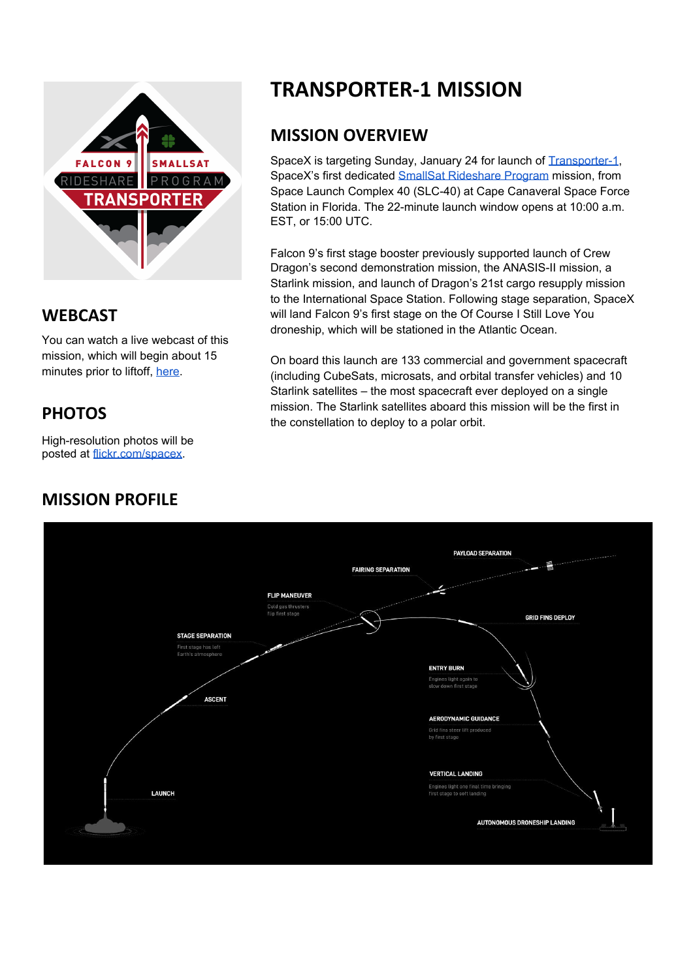

#### **WEBCAST**

You can watch a live webcast of this mission, which will begin about 15 minutes prior to liftoff, [here.](https://www.youtube.com/watch?v=ScHI1cbkUv4)

# **PHOTOS**

High-resolution photos will be posted at [flickr.com/spacex.](https://www.flickr.com/spacex/)

## **MISSION PROFILE**

# **TRANSPORTER-1 MISSION**

#### **MISSION OVERVIEW**

SpaceX is targeting Sunday, January 24 for launch of [Transporter-1](https://www.spacex.com/static/images/patches/transport_01.png), SpaceX's first dedicated SmallSat [Rideshare](https://www.spacex.com/rideshare/index.html) Program mission, from Space Launch Complex 40 (SLC-40) at Cape Canaveral Space Force Station in Florida. The 22-minute launch window opens at 10:00 a.m. EST, or 15:00 UTC.

Falcon 9's first stage booster previously supported launch of Crew Dragon's second demonstration mission, the ANASIS-II mission, a Starlink mission, and launch of Dragon's 21st cargo resupply mission to the International Space Station. Following stage separation, SpaceX will land Falcon 9's first stage on the Of Course I Still Love You droneship, which will be stationed in the Atlantic Ocean.

On board this launch are 133 commercial and government spacecraft (including CubeSats, microsats, and orbital transfer vehicles) and 10 Starlink satellites – the most spacecraft ever deployed on a single mission. The Starlink satellites aboard this mission will be the first in the constellation to deploy to a polar orbit.